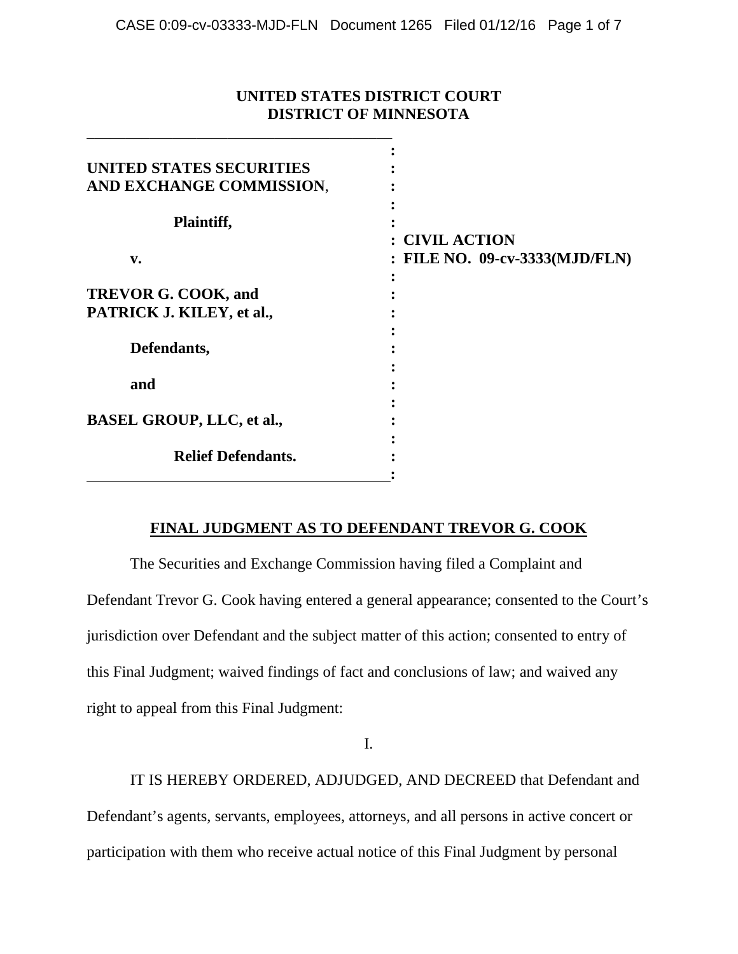# **UNITED STATES DISTRICT COURT DISTRICT OF MINNESOTA**

\_\_\_\_\_\_\_\_\_\_\_\_\_\_\_\_\_\_\_\_\_\_\_\_\_\_\_\_\_\_\_\_\_\_\_\_\_\_\_

| UNITED STATES SECURITIES         |                                |
|----------------------------------|--------------------------------|
| AND EXCHANGE COMMISSION,         |                                |
| Plaintiff,                       |                                |
|                                  | : CIVIL ACTION                 |
| v.                               | : FILE NO. 09-cv-3333(MJD/FLN) |
|                                  |                                |
| <b>TREVOR G. COOK, and</b>       |                                |
| PATRICK J. KILEY, et al.,        |                                |
|                                  |                                |
| Defendants,                      |                                |
|                                  |                                |
| and                              |                                |
|                                  |                                |
| <b>BASEL GROUP, LLC, et al.,</b> |                                |
|                                  |                                |
| <b>Relief Defendants.</b>        |                                |
|                                  |                                |

# **FINAL JUDGMENT AS TO DEFENDANT TREVOR G. COOK**

The Securities and Exchange Commission having filed a Complaint and Defendant Trevor G. Cook having entered a general appearance; consented to the Court's jurisdiction over Defendant and the subject matter of this action; consented to entry of this Final Judgment; waived findings of fact and conclusions of law; and waived any right to appeal from this Final Judgment:

I.

IT IS HEREBY ORDERED, ADJUDGED, AND DECREED that Defendant and Defendant's agents, servants, employees, attorneys, and all persons in active concert or participation with them who receive actual notice of this Final Judgment by personal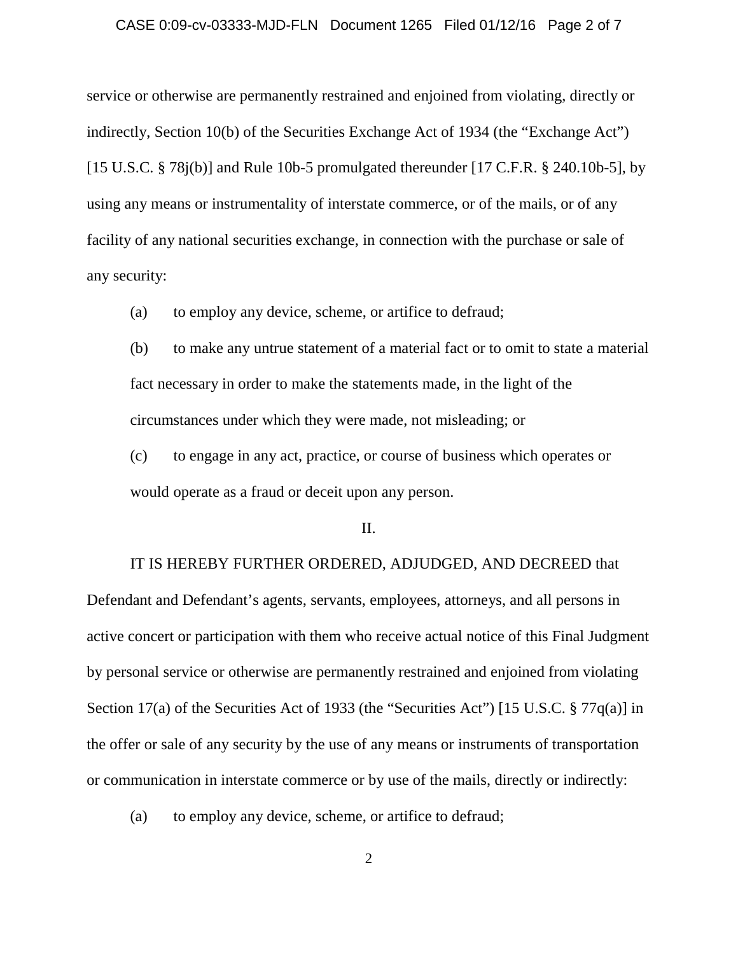#### CASE 0:09-cv-03333-MJD-FLN Document 1265 Filed 01/12/16 Page 2 of 7

service or otherwise are permanently restrained and enjoined from violating, directly or indirectly, Section 10(b) of the Securities Exchange Act of 1934 (the "Exchange Act") [15 U.S.C.  $\S$  78j(b)] and Rule 10b-5 promulgated thereunder [17 C.F.R.  $\S$  240.10b-5], by using any means or instrumentality of interstate commerce, or of the mails, or of any facility of any national securities exchange, in connection with the purchase or sale of any security:

- (a) to employ any device, scheme, or artifice to defraud;
- (b) to make any untrue statement of a material fact or to omit to state a material fact necessary in order to make the statements made, in the light of the circumstances under which they were made, not misleading; or

(c) to engage in any act, practice, or course of business which operates or would operate as a fraud or deceit upon any person.

#### II.

# IT IS HEREBY FURTHER ORDERED, ADJUDGED, AND DECREED that

Defendant and Defendant's agents, servants, employees, attorneys, and all persons in active concert or participation with them who receive actual notice of this Final Judgment by personal service or otherwise are permanently restrained and enjoined from violating Section 17(a) of the Securities Act of 1933 (the "Securities Act") [15 U.S.C. § 77q(a)] in the offer or sale of any security by the use of any means or instruments of transportation or communication in interstate commerce or by use of the mails, directly or indirectly:

(a) to employ any device, scheme, or artifice to defraud;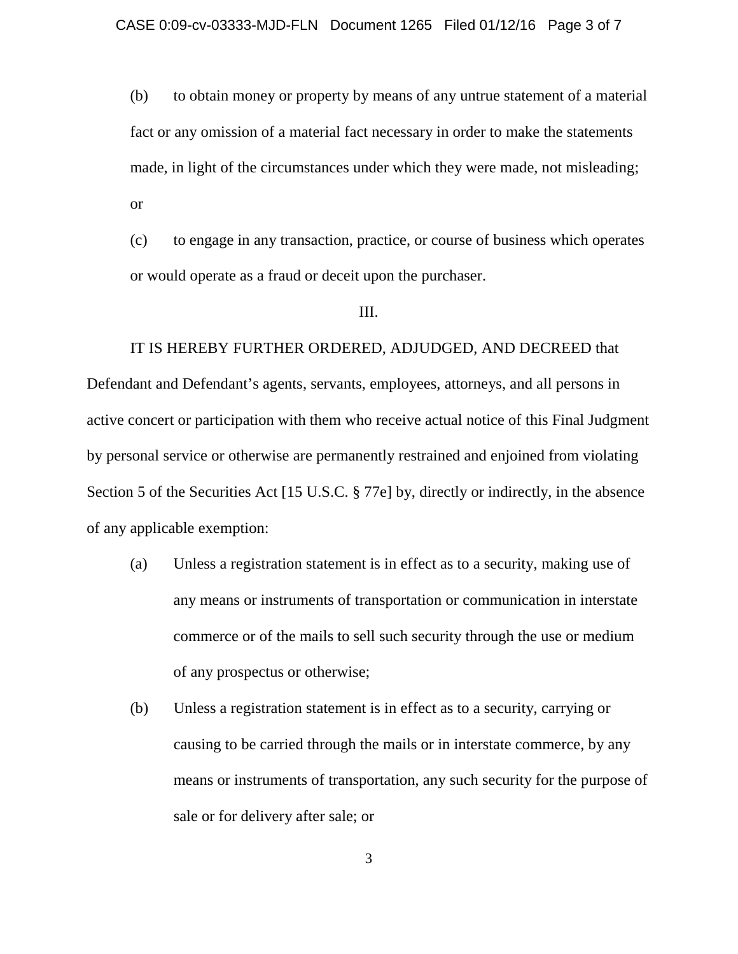(b) to obtain money or property by means of any untrue statement of a material fact or any omission of a material fact necessary in order to make the statements made, in light of the circumstances under which they were made, not misleading; or

(c) to engage in any transaction, practice, or course of business which operates or would operate as a fraud or deceit upon the purchaser.

### III.

### IT IS HEREBY FURTHER ORDERED, ADJUDGED, AND DECREED that

Defendant and Defendant's agents, servants, employees, attorneys, and all persons in active concert or participation with them who receive actual notice of this Final Judgment by personal service or otherwise are permanently restrained and enjoined from violating Section 5 of the Securities Act [15 U.S.C. § 77e] by, directly or indirectly, in the absence of any applicable exemption:

- (a) Unless a registration statement is in effect as to a security, making use of any means or instruments of transportation or communication in interstate commerce or of the mails to sell such security through the use or medium of any prospectus or otherwise;
- (b) Unless a registration statement is in effect as to a security, carrying or causing to be carried through the mails or in interstate commerce, by any means or instruments of transportation, any such security for the purpose of sale or for delivery after sale; or

3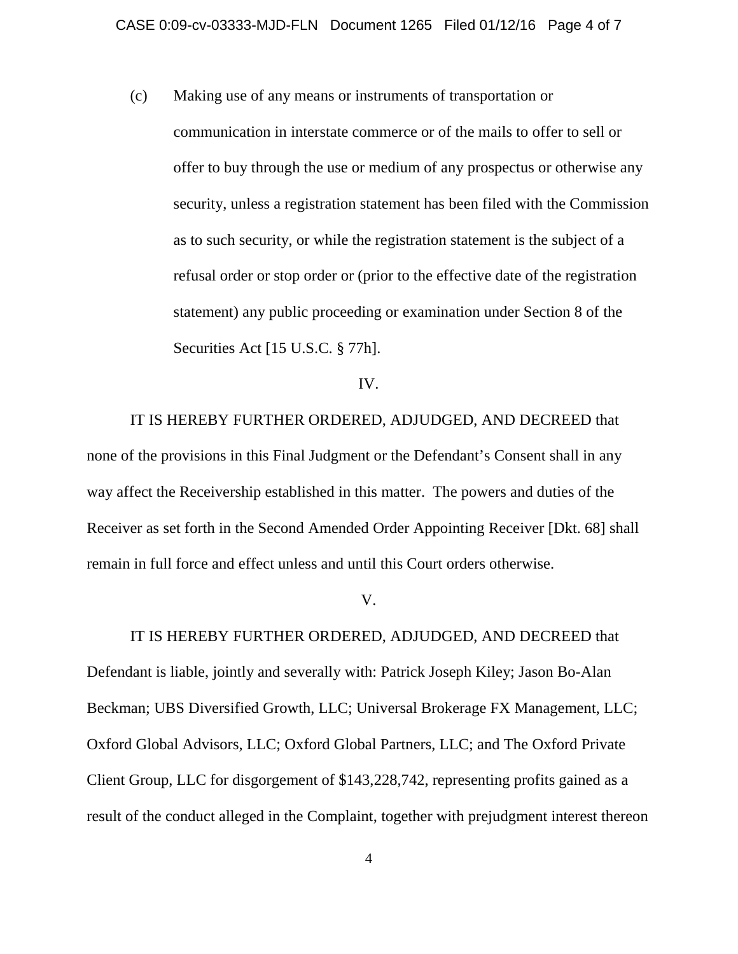(c) Making use of any means or instruments of transportation or

communication in interstate commerce or of the mails to offer to sell or offer to buy through the use or medium of any prospectus or otherwise any security, unless a registration statement has been filed with the Commission as to such security, or while the registration statement is the subject of a refusal order or stop order or (prior to the effective date of the registration statement) any public proceeding or examination under Section 8 of the Securities Act [15 U.S.C. § 77h].

IV.

IT IS HEREBY FURTHER ORDERED, ADJUDGED, AND DECREED that none of the provisions in this Final Judgment or the Defendant's Consent shall in any way affect the Receivership established in this matter. The powers and duties of the Receiver as set forth in the Second Amended Order Appointing Receiver [Dkt. 68] shall remain in full force and effect unless and until this Court orders otherwise.

V.

IT IS HEREBY FURTHER ORDERED, ADJUDGED, AND DECREED that Defendant is liable, jointly and severally with: Patrick Joseph Kiley; Jason Bo-Alan Beckman; UBS Diversified Growth, LLC; Universal Brokerage FX Management, LLC; Oxford Global Advisors, LLC; Oxford Global Partners, LLC; and The Oxford Private Client Group, LLC for disgorgement of \$143,228,742, representing profits gained as a result of the conduct alleged in the Complaint, together with prejudgment interest thereon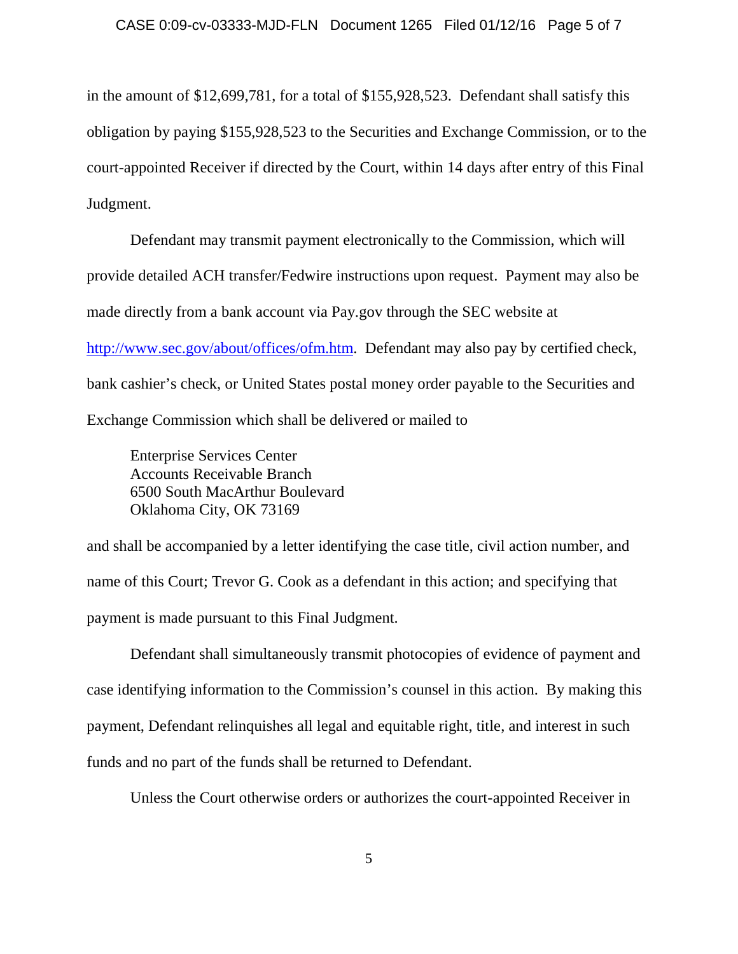in the amount of \$12,699,781, for a total of \$155,928,523. Defendant shall satisfy this obligation by paying \$155,928,523 to the Securities and Exchange Commission, or to the court-appointed Receiver if directed by the Court, within 14 days after entry of this Final Judgment.

Defendant may transmit payment electronically to the Commission, which will provide detailed ACH transfer/Fedwire instructions upon request. Payment may also be made directly from a bank account via Pay.gov through the SEC website at [http://www.sec.gov/about/offices/ofm.htm.](http://www.sec.gov/about/offices/ofm.htm) Defendant may also pay by certified check, bank cashier's check, or United States postal money order payable to the Securities and Exchange Commission which shall be delivered or mailed to

Enterprise Services Center Accounts Receivable Branch 6500 South MacArthur Boulevard Oklahoma City, OK 73169

and shall be accompanied by a letter identifying the case title, civil action number, and name of this Court; Trevor G. Cook as a defendant in this action; and specifying that payment is made pursuant to this Final Judgment.

Defendant shall simultaneously transmit photocopies of evidence of payment and case identifying information to the Commission's counsel in this action. By making this payment, Defendant relinquishes all legal and equitable right, title, and interest in such funds and no part of the funds shall be returned to Defendant.

Unless the Court otherwise orders or authorizes the court-appointed Receiver in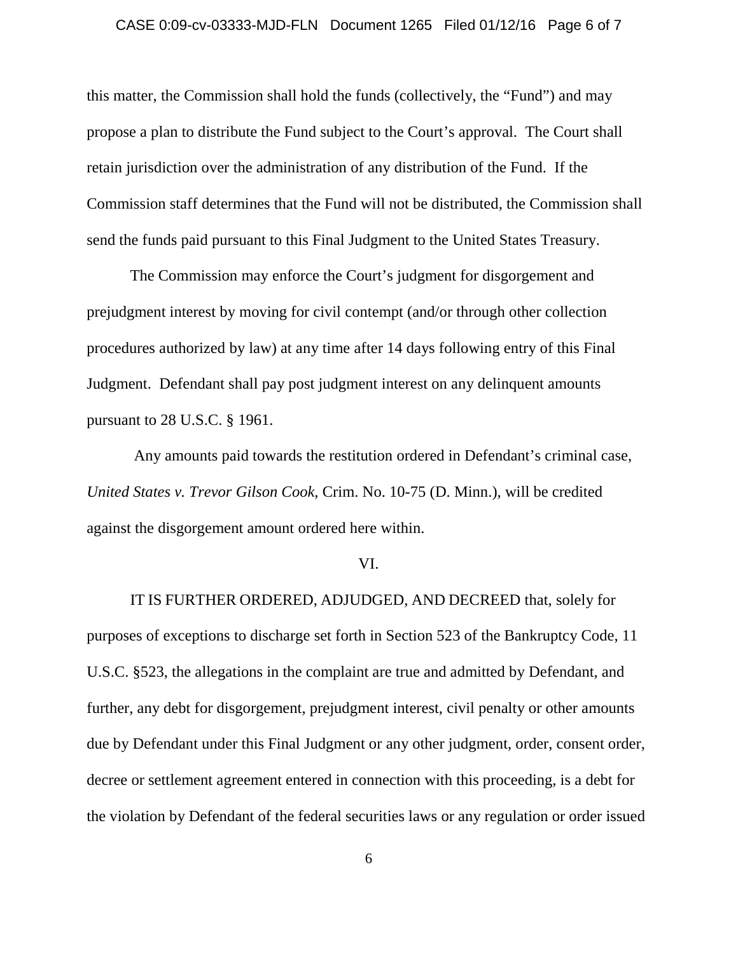#### CASE 0:09-cv-03333-MJD-FLN Document 1265 Filed 01/12/16 Page 6 of 7

this matter, the Commission shall hold the funds (collectively, the "Fund") and may propose a plan to distribute the Fund subject to the Court's approval. The Court shall retain jurisdiction over the administration of any distribution of the Fund. If the Commission staff determines that the Fund will not be distributed, the Commission shall send the funds paid pursuant to this Final Judgment to the United States Treasury.

The Commission may enforce the Court's judgment for disgorgement and prejudgment interest by moving for civil contempt (and/or through other collection procedures authorized by law) at any time after 14 days following entry of this Final Judgment. Defendant shall pay post judgment interest on any delinquent amounts pursuant to 28 U.S.C. § 1961.

Any amounts paid towards the restitution ordered in Defendant's criminal case, *United States v. Trevor Gilson Cook*, Crim. No. 10-75 (D. Minn.), will be credited against the disgorgement amount ordered here within.

### VI.

IT IS FURTHER ORDERED, ADJUDGED, AND DECREED that, solely for purposes of exceptions to discharge set forth in Section 523 of the Bankruptcy Code, 11 U.S.C. §523, the allegations in the complaint are true and admitted by Defendant, and further, any debt for disgorgement, prejudgment interest, civil penalty or other amounts due by Defendant under this Final Judgment or any other judgment, order, consent order, decree or settlement agreement entered in connection with this proceeding, is a debt for the violation by Defendant of the federal securities laws or any regulation or order issued